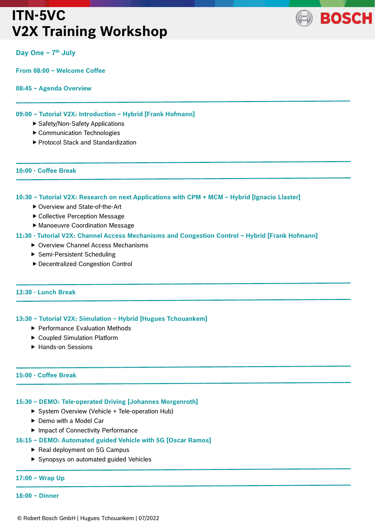# **ITN-5VC V2X Training Workshop**



## **Day One – 7 th July**

**From 08:00 – Welcome Coffee** 

#### **08:45 – Agenda Overview**

### **09:00 – Tutorial V2X: Introduction – Hybrid [Frank Hofmann]**

- ▶ Safety/Non-Safety Applications
- Communication Technologies
- ▶ Protocol Stack and Standardization

#### **10:00 - Coffee Break**

ł

j

j

ł

### **10:30 – Tutorial V2X: Research on next Applications with CPM + MCM – Hybrid [Ignacio Llaster]**

- ▶ Overview and State-of-the-Art
- Collective Perception Message
- Manoeuvre Coordination Message

### **11:30 - Tutorial V2X: Channel Access Mechanisms and Congestion Control – Hybrid [Frank Hofmann]**

- ▶ Overview Channel Access Mechanisms
- ▶ Semi-Persistent Scheduling
- Decentralized Congestion Control

## **12:30 - Lunch Break**

### **13:30 – Tutorial V2X: Simulation – Hybrid [Hugues Tchouankem]**

- ▶ Performance Evaluation Methods
- ▶ Coupled Simulation Platform
- ▶ Hands-on Sessions

### **15:00 - Coffee Break**

### **15:30 – DEMO: Tele-operated Driving [Johannes Morgenroth]**

- ▶ System Overview (Vehicle + Tele-operation Hub)
- ▶ Demo with a Model Car
- ▶ Impact of Connectivity Performance
- **16:15 – DEMO: Automated guided Vehicle with 5G [Oscar Ramos]**
	- Real deployment on 5G Campus
	- ▶ Synopsys on automated guided Vehicles

### **17:00 – Wrap Up**

**18:00 – Dinner**